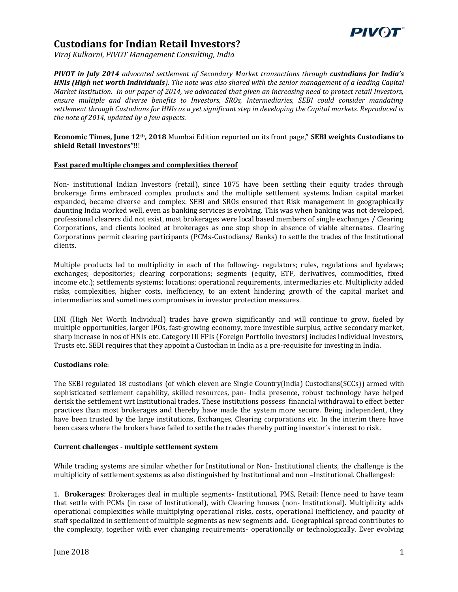

# **Custodians for Indian Retail Investors?**

*Viraj Kulkarni, PIVOT Management Consulting, India*

*PIVOT in July 2014 advocated settlement of Secondary Market transactions through custodians for India's HNIs (High net worth Individuals). The note was also shared with the senior management of a leading Capital Market Institution. In our paper of 2014, we advocated that given an increasing need to protect retail Investors, ensure multiple and diverse benefits to Investors, SROs, Intermediaries, SEBI could consider mandating settlement through Custodians for HNIs as a yet significant step in developing the Capital markets. Reproduced is the note of 2014, updated by a few aspects.*

### **Economic Times, June 12th, 2018** Mumbai Edition reported on its front page," **SEBI weights Custodians to shield Retail Investors"**!!!

#### **Fast paced multiple changes and complexities thereof**

Non- institutional Indian Investors (retail), since 1875 have been settling their equity trades through brokerage firms embraced complex products and the multiple settlement systems. Indian capital market expanded, became diverse and complex. SEBI and SROs ensured that Risk management in geographically daunting India worked well, even as banking services is evolving. This was when banking was not developed, professional clearers did not exist, most brokerages were local based members of single exchanges / Clearing Corporations, and clients looked at brokerages as one stop shop in absence of viable alternates. Clearing Corporations permit clearing participants (PCMs-Custodians/ Banks) to settle the trades of the Institutional clients.

Multiple products led to multiplicity in each of the following- regulators; rules, regulations and byelaws; exchanges; depositories; clearing corporations; segments (equity, ETF, derivatives, commodities, fixed income etc.); settlements systems; locations; operational requirements, intermediaries etc. Multiplicity added risks, complexities, higher costs, inefficiency, to an extent hindering growth of the capital market and intermediaries and sometimes compromises in investor protection measures.

HNI (High Net Worth Individual) trades have grown significantly and will continue to grow, fueled by multiple opportunities, larger IPOs, fast-growing economy, more investible surplus, active secondary market, sharp increase in nos of HNIs etc. Category III FPIs (Foreign Portfolio investors) includes Individual Investors, Trusts etc. SEBI requires that they appoint a Custodian in India as a pre-requisite for investing in India.

## **Custodians role**:

The SEBI regulated 18 custodians (of which eleven are Single Country(India) Custodians(SCCs)) armed with sophisticated settlement capability, skilled resources, pan- India presence, robust technology have helped derisk the settlement wrt Institutional trades. These institutions possess financial withdrawal to effect better practices than most brokerages and thereby have made the system more secure. Being independent, they have been trusted by the large institutions, Exchanges, Clearing corporations etc. In the interim there have been cases where the brokers have failed to settle the trades thereby putting investor's interest to risk.

#### **Current challenges - multiple settlement system**

While trading systems are similar whether for Institutional or Non- Institutional clients, the challenge is the multiplicity of settlement systems as also distinguished by Institutional and non –Institutional. Challengesl:

1. **Brokerages**: Brokerages deal in multiple segments- Institutional, PMS, Retail: Hence need to have team that settle with PCMs (in case of Institutional), with Clearing houses (non- Institutional). Multiplicity adds operational complexities while multiplying operational risks, costs, operational inefficiency, and paucity of staff specialized in settlement of multiple segments as new segments add. Geographical spread contributes to the complexity, together with ever changing requirements- operationally or technologically. Ever evolving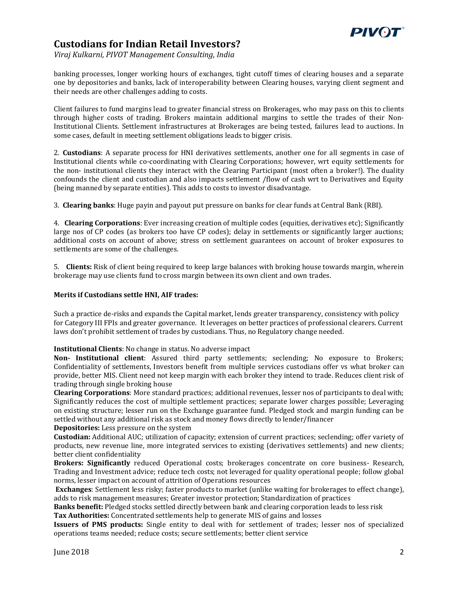

# **Custodians for Indian Retail Investors?**

*Viraj Kulkarni, PIVOT Management Consulting, India*

banking processes, longer working hours of exchanges, tight cutoff times of clearing houses and a separate one by depositories and banks, lack of interoperability between Clearing houses, varying client segment and their needs are other challenges adding to costs.

Client failures to fund margins lead to greater financial stress on Brokerages, who may pass on this to clients through higher costs of trading. Brokers maintain additional margins to settle the trades of their Non-Institutional Clients. Settlement infrastructures at Brokerages are being tested, failures lead to auctions. In some cases, default in meeting settlement obligations leads to bigger crisis.

2. **Custodians**: A separate process for HNI derivatives settlements, another one for all segments in case of Institutional clients while co-coordinating with Clearing Corporations; however, wrt equity settlements for the non- institutional clients they interact with the Clearing Participant (most often a broker!). The duality confounds the client and custodian and also impacts settlement /flow of cash wrt to Derivatives and Equity (being manned by separate entities). This adds to costs to investor disadvantage.

3. **Clearing banks**: Huge payin and payout put pressure on banks for clear funds at Central Bank (RBI).

4. **Clearing Corporations**: Ever increasing creation of multiple codes (equities, derivatives etc); Significantly large nos of CP codes (as brokers too have CP codes); delay in settlements or significantly larger auctions; additional costs on account of above; stress on settlement guarantees on account of broker exposures to settlements are some of the challenges.

5. **Clients:** Risk of client being required to keep large balances with broking house towards margin, wherein brokerage may use clients fund to cross margin between its own client and own trades.

## **Merits if Custodians settle HNI, AIF trades:**

Such a practice de-risks and expands the Capital market, lends greater transparency, consistency with policy for Category III FPIs and greater governance. It leverages on better practices of professional clearers. Current laws don't prohibit settlement of trades by custodians. Thus, no Regulatory change needed.

**Institutional Clients**: No change in status. No adverse impact

**Non- Institutional client**: Assured third party settlements; seclending; No exposure to Brokers; Confidentiality of settlements, Investors benefit from multiple services custodians offer vs what broker can provide, better MIS. Client need not keep margin with each broker they intend to trade. Reduces client risk of trading through single broking house

**Clearing Corporations**: More standard practices; additional revenues, lesser nos of participants to deal with; Significantly reduces the cost of multiple settlement practices; separate lower charges possible; Leveraging on existing structure; lesser run on the Exchange guarantee fund. Pledged stock and margin funding can be settled without any additional risk as stock and money flows directly to lender/financer

**Depositories:** Less pressure on the system

**Custodian:** Additional AUC; utilization of capacity; extension of current practices; seclending; offer variety of products, new revenue line, more integrated services to existing (derivatives settlements) and new clients; better client confidentiality

**Brokers: Significantly** reduced Operational costs; brokerages concentrate on core business- Research, Trading and Investment advice; reduce tech costs; not leveraged for quality operational people; follow global norms, lesser impact on account of attrition of Operations resources

**Exchanges**: Settlement less risky; faster products to market (unlike waiting for brokerages to effect change), adds to risk management measures; Greater investor protection; Standardization of practices

**Banks benefit:** Pledged stocks settled directly between bank and clearing corporation leads to less risk **Tax Authorities:** Concentrated settlements help to generate MIS of gains and losses

**Issuers of PMS products:** Single entity to deal with for settlement of trades; lesser nos of specialized operations teams needed; reduce costs; secure settlements; better client service